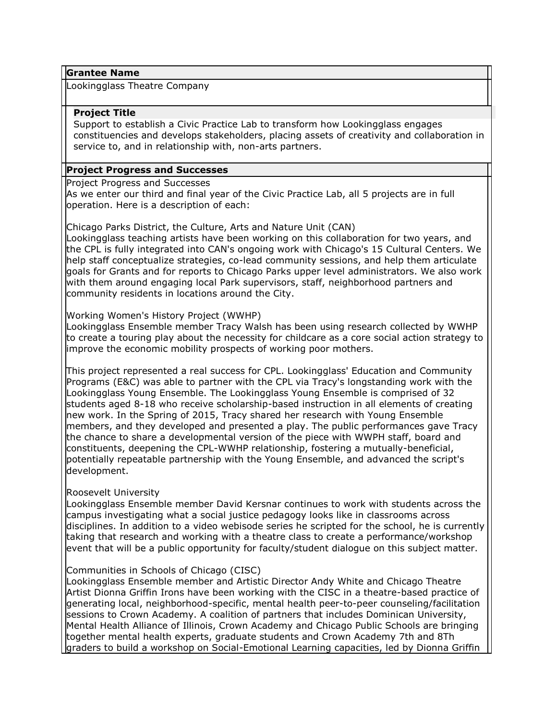#### **Grantee Name**

Lookingglass Theatre Company

## **Project Title**

Support to establish a Civic Practice Lab to transform how Lookingglass engages constituencies and develops stakeholders, placing assets of creativity and collaboration in service to, and in relationship with, non-arts partners.

## **Project Progress and Successes**

Project Progress and Successes

As we enter our third and final year of the Civic Practice Lab, all 5 projects are in full operation. Here is a description of each:

#### Chicago Parks District, the Culture, Arts and Nature Unit (CAN)

Lookingglass teaching artists have been working on this collaboration for two years, and the CPL is fully integrated into CAN's ongoing work with Chicago's 15 Cultural Centers. We help staff conceptualize strategies, co-lead community sessions, and help them articulate goals for Grants and for reports to Chicago Parks upper level administrators. We also work with them around engaging local Park supervisors, staff, neighborhood partners and community residents in locations around the City.

#### Working Women's History Project (WWHP)

Lookingglass Ensemble member Tracy Walsh has been using research collected by WWHP to create a touring play about the necessity for childcare as a core social action strategy to improve the economic mobility prospects of working poor mothers.

This project represented a real success for CPL. Lookingglass' Education and Community Programs (E&C) was able to partner with the CPL via Tracy's longstanding work with the Lookingglass Young Ensemble. The Lookingglass Young Ensemble is comprised of 32 students aged 8-18 who receive scholarship-based instruction in all elements of creating new work. In the Spring of 2015, Tracy shared her research with Young Ensemble members, and they developed and presented a play. The public performances gave Tracy the chance to share a developmental version of the piece with WWPH staff, board and constituents, deepening the CPL-WWHP relationship, fostering a mutually-beneficial, potentially repeatable partnership with the Young Ensemble, and advanced the script's development.

## Roosevelt University

Lookingglass Ensemble member David Kersnar continues to work with students across the campus investigating what a social justice pedagogy looks like in classrooms across disciplines. In addition to a video webisode series he scripted for the school, he is currently taking that research and working with a theatre class to create a performance/workshop event that will be a public opportunity for faculty/student dialogue on this subject matter.

## Communities in Schools of Chicago (CISC)

Lookingglass Ensemble member and Artistic Director Andy White and Chicago Theatre Artist Dionna Griffin Irons have been working with the CISC in a theatre-based practice of generating local, neighborhood-specific, mental health peer-to-peer counseling/facilitation sessions to Crown Academy. A coalition of partners that includes Dominican University, Mental Health Alliance of Illinois, Crown Academy and Chicago Public Schools are bringing together mental health experts, graduate students and Crown Academy 7th and 8Th graders to build a workshop on Social-Emotional Learning capacities, led by Dionna Griffin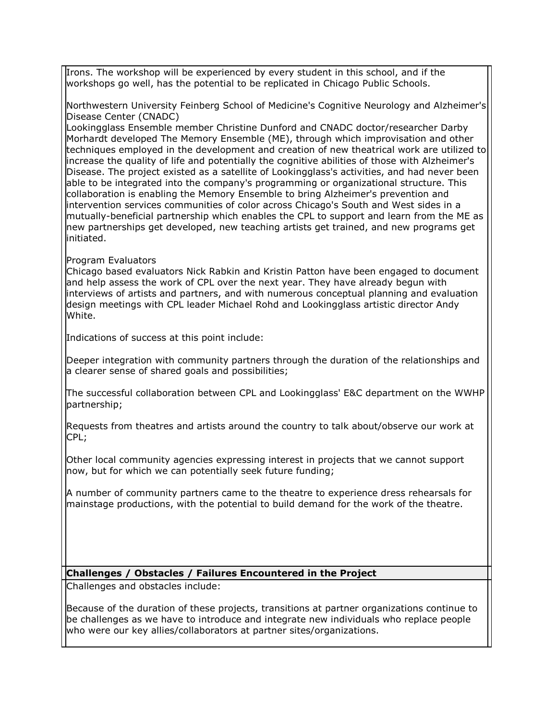Irons. The workshop will be experienced by every student in this school, and if the workshops go well, has the potential to be replicated in Chicago Public Schools.

Northwestern University Feinberg School of Medicine's Cognitive Neurology and Alzheimer's Disease Center (CNADC)

Lookingglass Ensemble member Christine Dunford and CNADC doctor/researcher Darby Morhardt developed The Memory Ensemble (ME), through which improvisation and other techniques employed in the development and creation of new theatrical work are utilized to increase the quality of life and potentially the cognitive abilities of those with Alzheimer's Disease. The project existed as a satellite of Lookingglass's activities, and had never been able to be integrated into the company's programming or organizational structure. This collaboration is enabling the Memory Ensemble to bring Alzheimer's prevention and intervention services communities of color across Chicago's South and West sides in a mutually-beneficial partnership which enables the CPL to support and learn from the ME as new partnerships get developed, new teaching artists get trained, and new programs get initiated.

## Program Evaluators

Chicago based evaluators Nick Rabkin and Kristin Patton have been engaged to document and help assess the work of CPL over the next year. They have already begun with interviews of artists and partners, and with numerous conceptual planning and evaluation design meetings with CPL leader Michael Rohd and Lookingglass artistic director Andy White.

Indications of success at this point include:

Deeper integration with community partners through the duration of the relationships and a clearer sense of shared goals and possibilities;

The successful collaboration between CPL and Lookingglass' E&C department on the WWHP partnership;

Requests from theatres and artists around the country to talk about/observe our work at CPL;

Other local community agencies expressing interest in projects that we cannot support now, but for which we can potentially seek future funding;

A number of community partners came to the theatre to experience dress rehearsals for mainstage productions, with the potential to build demand for the work of the theatre.

# **Challenges / Obstacles / Failures Encountered in the Project**

Challenges and obstacles include:

Because of the duration of these projects, transitions at partner organizations continue to be challenges as we have to introduce and integrate new individuals who replace people who were our key allies/collaborators at partner sites/organizations.